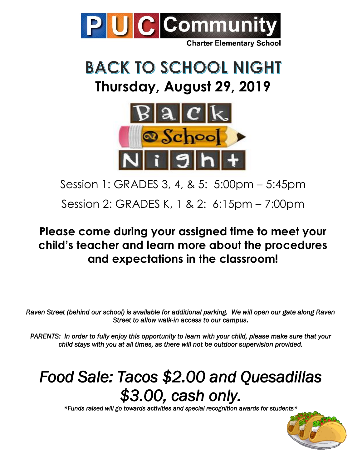

# **BACK TO SCHOOL NIGHT Thursday, August 29, 2019**



Session 1: GRADES 3, 4, & 5: 5:00pm – 5:45pm

Session 2: GRADES K, 1 & 2: 6:15pm – 7:00pm

#### **Please come during your assigned time to meet your child's teacher and learn more about the procedures and expectations in the classroom!**

*Raven Street (behind our school) is available for additional parking. We will open our gate along Raven Street to allow walk-in access to our campus.* 

*PARENTS: In order to fully enjoy this opportunity to learn with your child, please make sure that your child stays with you at all times, as there will not be outdoor supervision provided.* 

## *Food Sale: Tacos \$2.00 and Quesadillas \$3.00, cash only.*

*\*Funds raised will go towards activities and special recognition awards for students\**